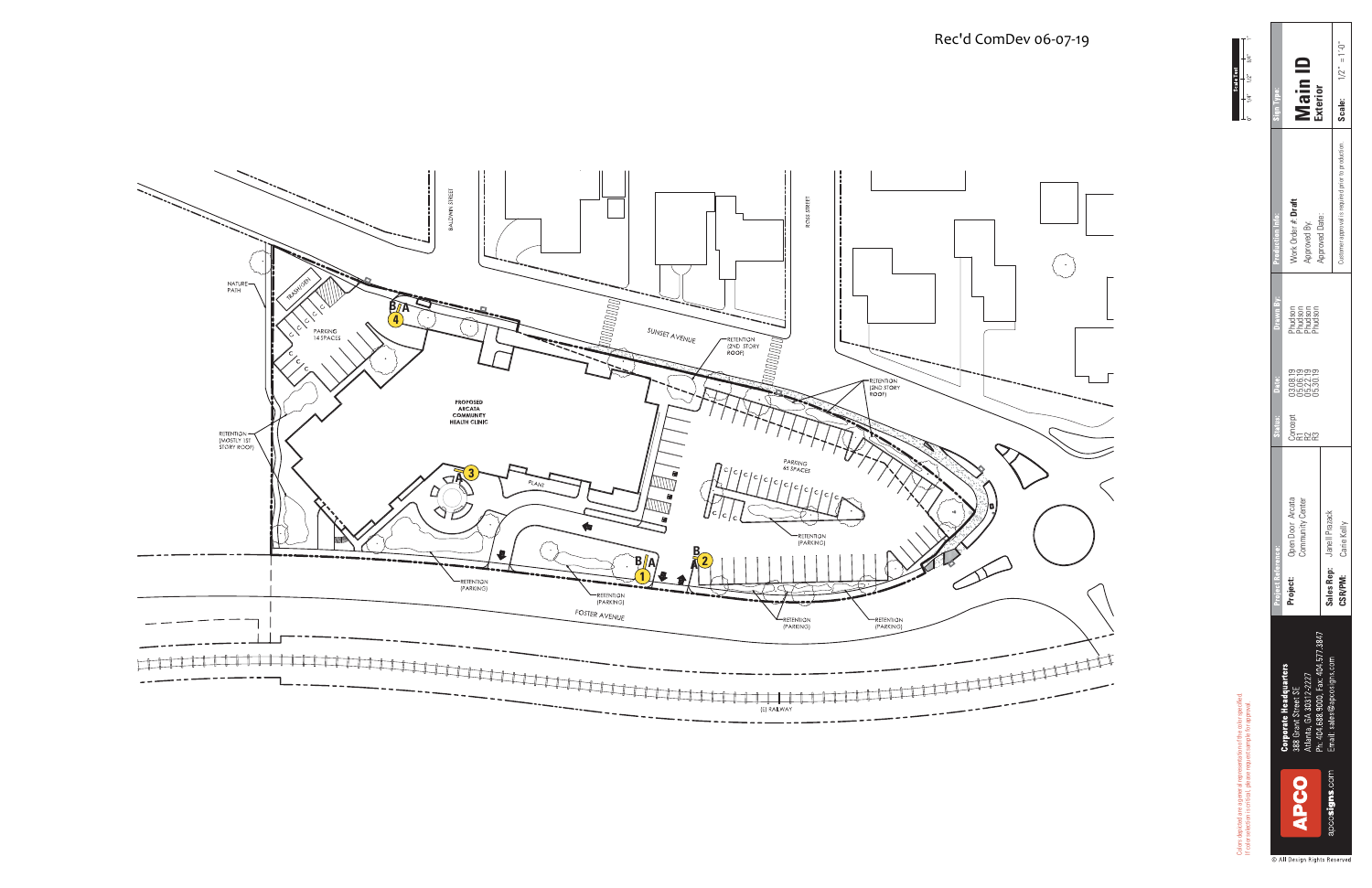If color selection is critical, please request sample for approval.

Colors<br>If colo



 $1/2'' = 1' - 0''$ **Scale:** 1/2" = 1'-0" **Main ID Exterior** Scale: Customer approval is required prior to production. Work Order **#: Draft**<br>Approved By:<br>Approved Date: **Project:** Open Door Arcata (3.08.19 03.08.19 Phudson | Work Order #: Draft Approved Date: Approved By: Phudson<br>Phudson<br>Phudson<br>Phudson Concept 03.08.19 Phudson R1 05.06.19 Phudson R2 05.22.19 Phudson R3 05.30.19 Phudson |<br>| 03.08.19<br>| 05.02.19<br>| 05.30.19<br>| 05.30.19 dec )<br>이<u>도</u> 또 또 또 **Open Door Arcata<br>Community Center** Open Door Arcata Community Center Carie Kelly Janell Prazack **Sales Rep: CSR/PM:** rruject ne<br>**Project:** 3847  $signs$ .com **924** đ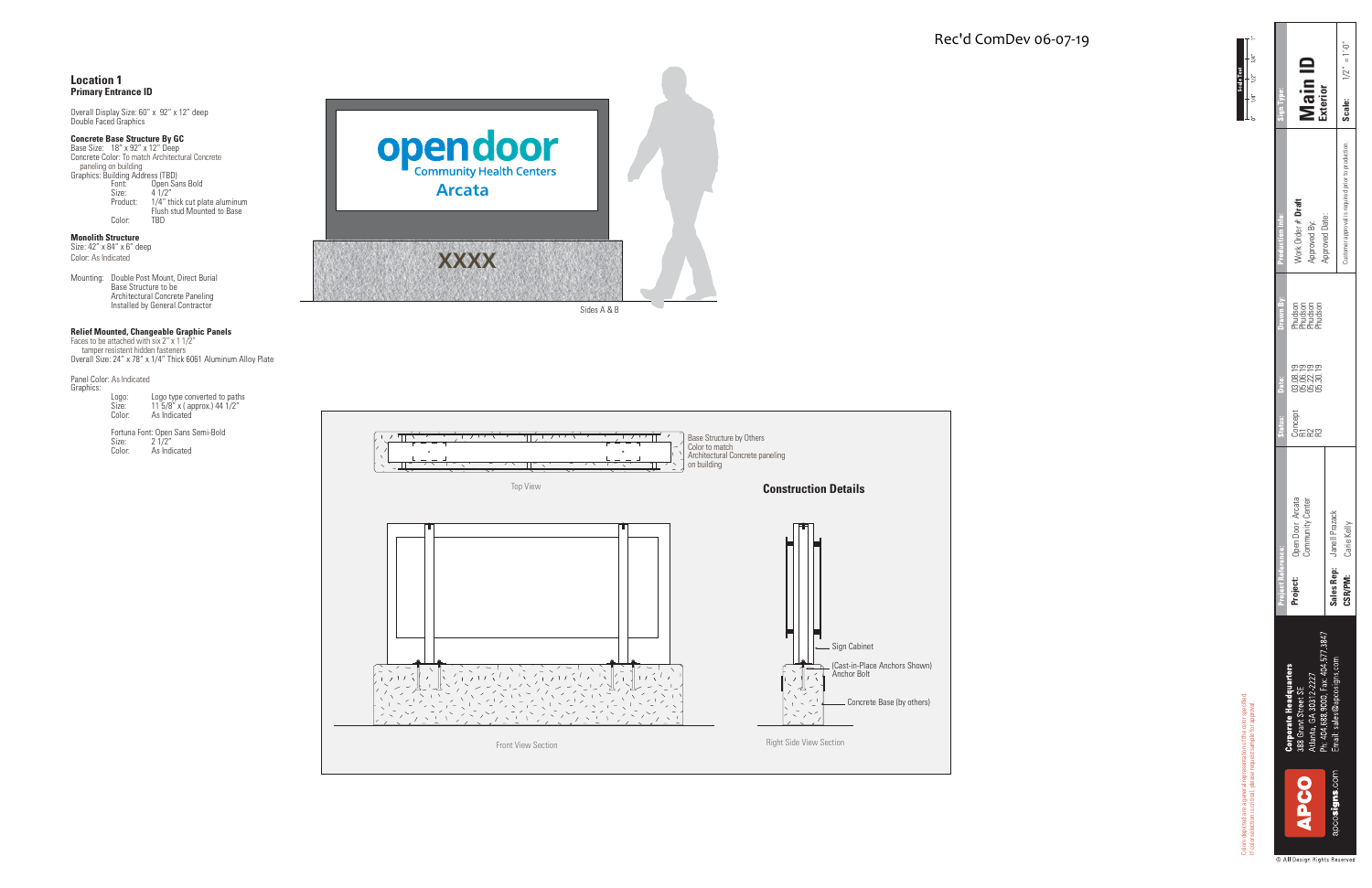

|                                                                                                                                                     | Vlain I<br>xterior                                            |                           | <b>Scale:</b> $1/2'' = 1' \cdot 0''$ |  |
|-----------------------------------------------------------------------------------------------------------------------------------------------------|---------------------------------------------------------------|---------------------------|--------------------------------------|--|
| roduction Info:                                                                                                                                     | Vork Order #: Draft<br>Approved By:                           | pproved Date:             | ustomer approval is required prior   |  |
| Drawn By:                                                                                                                                           | Phudson<br>Phudson<br>Phudson<br>Phudson                      |                           |                                      |  |
| Date:                                                                                                                                               |                                                               |                           |                                      |  |
| <b>Status:</b>                                                                                                                                      | ්ස<br>පසු<br>පසු                                              |                           |                                      |  |
| <b>Project Reference:</b>                                                                                                                           | Arcata<br>Center<br><b>Open Door</b><br>Community<br>Project: | Sales Rep: Janell Prazack | <b>CSR/PM:</b> Carie Kelly           |  |
| Ph: 404 688 9000, Fax: 404 577 3847<br>Email: sales@apcosigns.com<br><b>Corporate Headquarters</b><br>Atlanta, GA 30312-2227<br>388 Grant Street SE |                                                               |                           |                                      |  |
|                                                                                                                                                     | <b>OOdd</b>                                                   | apcosigns com             |                                      |  |

**Concrete Base Structure By GC**<br>Base Size: 18" x 92" x 12" Deep<br>Concrete Color: To match Architectural Concrete paneling on building Graphics: Building Address (TBD) Font: Open Sans Bold Size: 4 1/2" Product: 1/4" thick cut plate aluminum Flush stud Mounted to Base Color: TBD

Colors depicted are a general representation of the color specified. If color selection is critical, please request sample for approval.

Scale Te

**Monolith Structure**<br>Size: 42″ x 84″ x 6″ deep Color: As Indicated

### **Location 1Primary Entrance ID**

Panel Color: As Indicated Graphics:

Overall Display Size: 60" x 92" x 12" deep Double Faced Graphics

Mounting: Double Post Mount, Direct Burial Base Structure to be Architectural Concrete Paneling Installed by General Contractor

**Relief Mounted, Changeable Graphic Panels** Faces to be attached with six 2" x 1 1/2" tamper resistent hidden fasteners Overall Size: 24" x 78" x 1/4" Thick 6061 Aluminum Alloy Plate

| Graphics: |        |                              |
|-----------|--------|------------------------------|
|           | Logo:  | Logo type converted to paths |
|           | Size:  | 11 5/8" x ( approx.) 44 1/2" |
|           | Color: | As Indicated                 |

Fortuna Font: Open Sans Semi-Bold Size: 2 1/2" Color: As Indicated